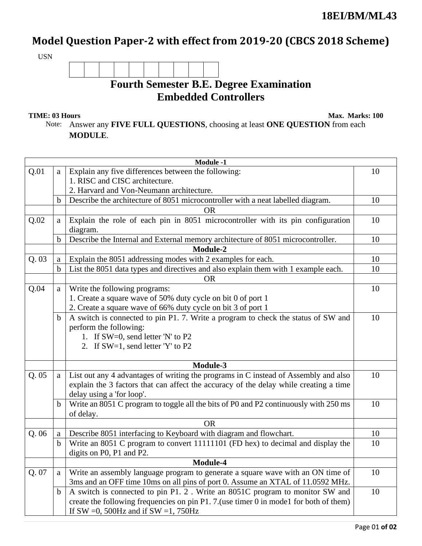## Model Question Paper-2 with effect from 2019-20 (CBCS 2018 Scheme)

USN

## **Fourth Semester B.E. Degree Examination Embedded Controllers**

**TIME: 03 Hours** Max. Marks: 100

Note: Answer any **FIVE FULL QUESTIONS**, choosing at least **ONE QUESTION** from each **MODULE**.

| <b>Module -1</b> |             |                                                                                                                                                                                                           |    |  |
|------------------|-------------|-----------------------------------------------------------------------------------------------------------------------------------------------------------------------------------------------------------|----|--|
| Q.01             | a           | Explain any five differences between the following:                                                                                                                                                       | 10 |  |
|                  |             | 1. RISC and CISC architecture.                                                                                                                                                                            |    |  |
|                  |             | 2. Harvard and Von-Neumann architecture.                                                                                                                                                                  |    |  |
|                  | $\mathbf b$ | Describe the architecture of 8051 microcontroller with a neat labelled diagram.                                                                                                                           | 10 |  |
|                  |             | <b>OR</b>                                                                                                                                                                                                 |    |  |
| Q.02             | a           | Explain the role of each pin in 8051 microcontroller with its pin configuration<br>diagram.                                                                                                               | 10 |  |
|                  | $\mathbf b$ | Describe the Internal and External memory architecture of 8051 microcontroller.                                                                                                                           | 10 |  |
|                  |             | <b>Module-2</b>                                                                                                                                                                                           |    |  |
| Q.03             | a           | Explain the 8051 addressing modes with 2 examples for each.                                                                                                                                               | 10 |  |
|                  | $\mathbf b$ | List the 8051 data types and directives and also explain them with 1 example each.                                                                                                                        | 10 |  |
|                  |             | <b>OR</b>                                                                                                                                                                                                 |    |  |
| Q.04             | a           | Write the following programs:                                                                                                                                                                             | 10 |  |
|                  |             | 1. Create a square wave of 50% duty cycle on bit 0 of port 1                                                                                                                                              |    |  |
|                  |             | 2. Create a square wave of 66% duty cycle on bit 3 of port 1                                                                                                                                              |    |  |
|                  | $\mathbf b$ | A switch is connected to pin P1. 7. Write a program to check the status of SW and                                                                                                                         | 10 |  |
|                  |             | perform the following:                                                                                                                                                                                    |    |  |
|                  |             | 1. If SW=0, send letter 'N' to P2                                                                                                                                                                         |    |  |
|                  |             | 2. If SW=1, send letter 'Y' to P2                                                                                                                                                                         |    |  |
| Module-3         |             |                                                                                                                                                                                                           |    |  |
| Q.05             | a           | List out any 4 advantages of writing the programs in C instead of Assembly and also<br>explain the 3 factors that can affect the accuracy of the delay while creating a time<br>delay using a 'for loop'. | 10 |  |
|                  | $\mathbf b$ | Write an 8051 C program to toggle all the bits of P0 and P2 continuously with 250 ms<br>of delay.                                                                                                         | 10 |  |
|                  |             | <b>OR</b>                                                                                                                                                                                                 |    |  |
| Q.06             | a           | Describe 8051 interfacing to Keyboard with diagram and flowchart.                                                                                                                                         | 10 |  |
|                  | $\mathbf b$ | Write an 8051 C program to convert 11111101 (FD hex) to decimal and display the                                                                                                                           | 10 |  |
|                  |             | digits on P0, P1 and P2.                                                                                                                                                                                  |    |  |
|                  |             | Module-4                                                                                                                                                                                                  |    |  |
| Q. 07            | a           | Write an assembly language program to generate a square wave with an ON time of                                                                                                                           | 10 |  |
|                  |             | 3ms and an OFF time 10ms on all pins of port 0. Assume an XTAL of 11.0592 MHz.                                                                                                                            |    |  |
|                  | $\mathbf b$ | A switch is connected to pin P1. 2. Write an 8051C program to monitor SW and                                                                                                                              | 10 |  |
|                  |             | create the following frequencies on pin P1. 7. (use timer 0 in mode1 for both of them)                                                                                                                    |    |  |
|                  |             | If SW = 0, 500Hz and if SW = 1, 750Hz                                                                                                                                                                     |    |  |